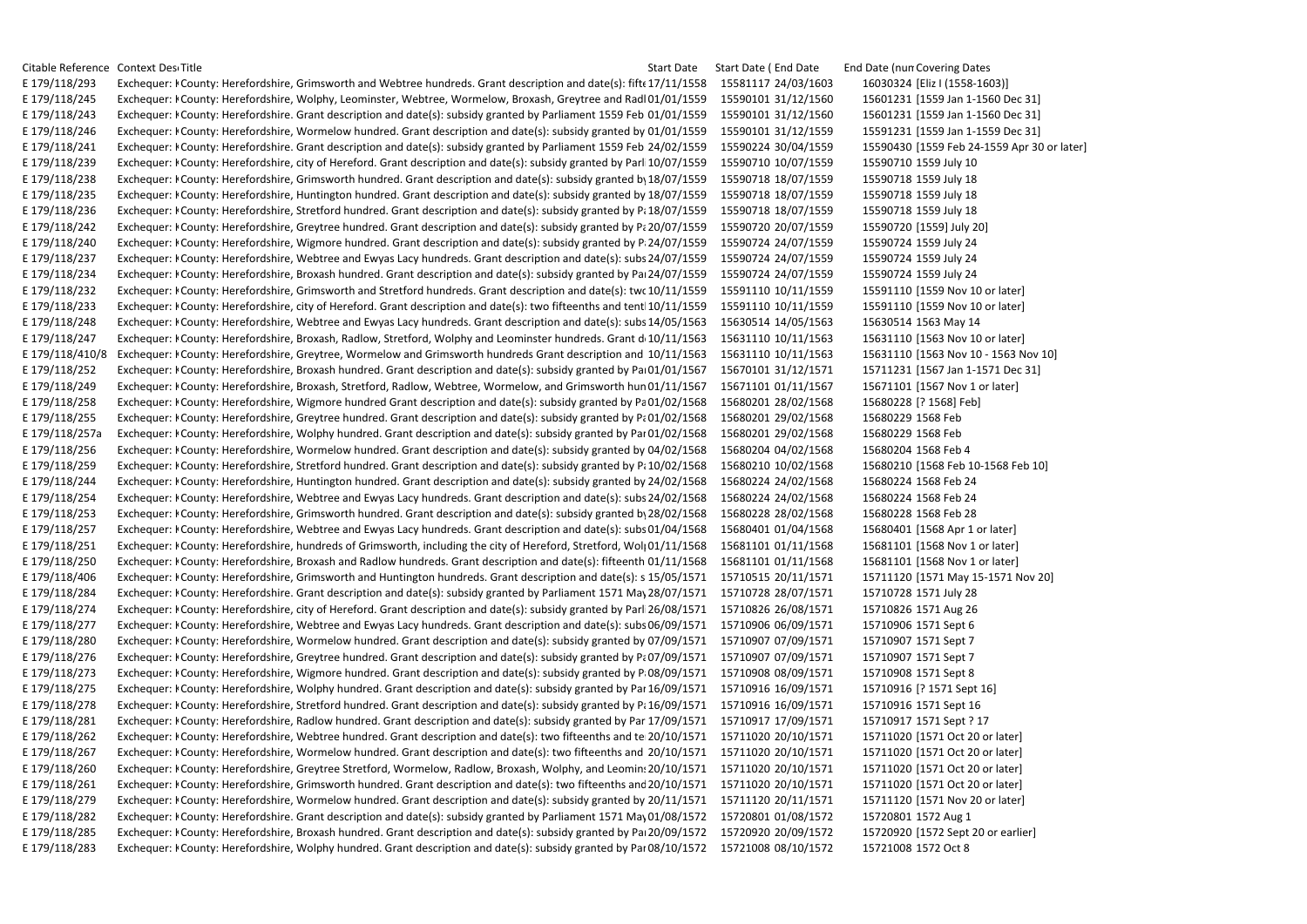Citable Reference Context Description Title Start Date Start Date Start Date (End Date End Date Inum Covering Dates E 179/118/293 Exchequer: I County: Herefordshire. Grimsworth and Webtree hundreds. Grant description and date(s): fift 17/11/1558 15581117 24/03/1603 16030324 [Eliz I (1558-1603]] E 179/118/245 Exchequer: I County: Herefordshire, Wolphy, Leominster, Webtree, Wormelow, Broxash, Greytree and Radl01/01/1559 15590101 31/12/1560 15601231 [1559 Jan 1-1560 Dec 31] E 179/118/243 Exchequer: I County: Herefordshire. Grant description and date(s): subsidy granted by Parliament 1559 Feb 01/01/1559 15590101 31/12/1560 15601231 [1559 Jan 1-1560 Dec 31] E 179/118/246 Exchequer: I County: Herefordshire. Wormelow hundred. Grant description and date(s): subsidy granted by 01/01/1559 15590101 31/12/1559 15591231 [1559 Jan 1-1559 Dec 31] E 179/118/241 Exchequer: I County: Herefordshire. Grant description and date(s): subsidy granted by Parliament 1559 Feb 24/02/1559 15590224 30/04/1559 15590430 [1559 Feb 24-1559 Apr 30 or later] E 179/118/239 Exchequer: I County: Herefordshire, city of Hereford. Grant description and date(s): subsidy granted by Parl 10/07/1559 15590710 10/07/1559 15590710 15590710 1559 July 10 E 179/118/238 Exchequer: I County: Herefordshire, Grimsworth hundred. Grant description and date(s): subsidy granted by 18/07/1559 15590718 18/07/1559 15590718 15590718 15590718 1759 July 18 E 179/118/235 Exchequer: I County: Herefordshire, Huntington hundred. Grant description and date(s): subsidy granted by 18/07/1559 15590718 18/07/1559 15590718 15590718 15590718 1759 July 18 E 179/118/236 Exchequer: I County: Herefordshire, Stretford hundred. Grant description and date(s): subsidy granted by P; 18/07/1559 15590718 18/07/1559 15590718 15590718 15590718 18 E 179/118/242 Exchequer: I County: Herefordshire, Greytree hundred. Grant description and date(s): subsidy granted by P; 20/07/1559 15590720 20/07/1559 15590720 [1559] July 20] E 179/118/240 Exchequer: FCounty: Herefordshire, Wigmore hundred. Grant description and date(s): subsidy granted by P 24/07/1559 15590724 24/07/1559 15590724 15590724 1559 July 24 E 179/118/237 Exchequer: I County: Herefordshire. Webtree and Ewyas Lacy hundreds. Grant description and date(s): subs 24/07/1559 15590724 24/07/1559 15590724 15590724 15590724 24/07/1559 E 179/118/234 Exchequer: I County: Herefordshire, Broxash hundred. Grant description and date(s): subsidy granted by Pa 24/07/1559 15590724 24/07/1559 15590724 15590724 15590724 24/07/1559 E 179/118/232 Exchequer: I County: Herefordshire, Grimsworth and Stretford hundreds. Grant description and date(s): two 10/11/1559 15591110 10/11/1559 15591110 [1559 Nov 10 or later] E 179/118/233 Exchequer: I County: Herefordshire, city of Hereford. Grant description and date(s): two fifteenths and tent 10/11/1559 15591110 10/11/1559 15591110 [1559 Nov 10 or later] E 179/118/248 Exchequer: I County: Herefordshire, Webtree and Ewyas Lacy hundreds. Grant description and date(s): subs 14/05/1563 15630514 14/05/1563 15630514 15630514 1563 May 14 E 179/118/247 Exchequer: I County: Herefordshire, Broxash, Radlow, Stretford, Wolphy and Leominster hundreds. Grant d 10/11/1563 15631110 10/11/1563 15631110 [1563 Nov 10 or later] E 179/118/410/8 Exchequer: I County: Herefordshire, Greytree, Wormelow and Grimsworth hundreds Grant description and 10/11/1563 15631110 10/11/1563 15631110 [1563 Nov 10 - 1563 Nov 10] E 179/118/252 Exchequer: I County: Herefordshire, Broxash hundred. Grant description and date(s): subsidy granted by Pai 01/01/1567 15670101 31/12/1571 15711231 [1567 Jan 1-1571 Dec 31] E 179/118/249 Exchequer: I County: Herefordshire, Broxash, Stretford, Radlow, Webtree, Wormelow, and Grimsworth hun 01/11/1567 15671101 01/11/1567 15671101 [1567 Nov 1 or later] E 179/118/258 Exchequer: I County: Herefordshire, Wigmore hundred Grant description and date(s): subsidy granted by Pa01/02/1568 15680201 28/02/1568 15680228 [? 1568] Feb] E 179/118/255 Exchequer: I County: Herefordshire, Greytree hundred. Grant description and date(s): subsidy granted by P; 01/02/1568 15680201 29/02/1568 15680229 1568 Feb E 179/118/257a Exchequer: I County: Herefordshire, Wolphy hundred. Grant description and date(s): subsidy granted by Par 01/02/1568 15680201 29/02/1568 15680229 1568 Feb E 179/118/256 Exchequer: I County: Herefordshire, Wormelow hundred. Grant description and date(s): subsidy granted by 04/02/1568 15680204 04/02/1568 15680204 15680204 1568 Feb 4 E 179/118/259 Exchequer: I County: Herefordshire, Stretford hundred. Grant description and date(s): subsidy granted by P; 10/02/1568 15680210 10/02/1568 15680210 [1568 Feb 10-1568 Feb 10 E 179/118/244 Exchequer: I County: Herefordshire, Huntington hundred. Grant description and date(s): subsidy granted by 24/02/1568 15680224 24/02/1568 15680224 15680224 1568 Feb 24 E 179/118/254 Exchequer: I County: Herefordshire, Webtree and Ewyas Lacy hundreds. Grant description and date(s): subs 24/02/1568 15680224 24/02/1568 15680224 15680224 1568 Feb 24 E 179/118/253 Exchequer: I County: Herefordshire, Grimsworth hundred. Grant description and date(s): subsidy granted by 28/02/1568 15680228 28/02/1568 15680228 15680228 Feb 28 E 179/118/257 Exchequer: I County: Herefordshire, Webtree and Ewyas Lacy hundreds. Grant description and date(s): subs 01/04/1568 15680401 01/04/1568 15680401 [1568 Apr 1 or later] E 179/118/251 Exchequer: I County: Herefordshire, hundreds of Grimsworth, including the city of Hereford, Stretford, Woll 01/11/1568 15681101 01/11/1568 15681101 [1568 Nov 1 or later] E 179/118/250 Exchequer: I County: Herefordshire, Broxash and Radlow hundreds. Grant description and date(s): fifteenth 01/11/1568 15681101 01/11/1568 15681101 [1568 Nov 1 or later] E 179/118/406 Exchequer: I County: Herefordshire, Grimsworth and Huntington hundreds. Grant description and date(s): s 15/05/1571 15710515 20/11/1571 15711120 [1571 May 15-1571 Nov 20] E 179/118/284 Exchequer: I County: Herefordshire. Grant description and date(s): subsidy granted by Parliament 1571 May 28/07/1571 15710728 28/07/1571 15710728 15710728 1571 July 28 E 179/118/274 Exchequer: I County: Herefordshire, city of Hereford. Grant description and date(s): subsidy granted by Parl 26/08/1571 15710826 26/08/1571 15710826 1571 Aug 26 E 179/118/277 Exchequer: I County: Herefordshire, Webtree and Ewyas Lacy hundreds. Grant description and date(s): subs 06/09/1571 15710906 06/09/1571 15710906 1571 Sept 6 E 179/118/280 Exchequer: I County: Herefordshire, Wormelow hundred. Grant description and date(s): subsidy granted by 07/09/1571 15710907 07/09/1571 15710907 1571 Sept 7 E 179/118/276 Exchequer: I County: Herefordshire, Greytree hundred. Grant description and date(s): subsidy granted by P; 07/09/1571 15710907 07/09/1571 15710907 1571 Sept 7 E 179/118/273 Exchequer: I County: Herefordshire, Wigmore hundred. Grant description and date(s): subsidy granted by P.08/09/1571 15710908 08/09/1571 15710908 1571 Sept 8 E 179/118/275 Exchequer: I County: Herefordshire, Wolphy hundred. Grant description and date(s): subsidy granted by Par 16/09/1571 15710916 16/09/1571 15710916 [? 1571 Sept 16] E 179/118/278 Exchequer: I County: Herefordshire, Stretford hundred. Grant description and date(s): subsidy granted by P; 16/09/1571 15710916 16/09/1571 15710916 1571 Sept 16 E 179/118/281 Exchequer: I County: Herefordshire, Radlow hundred. Grant description and date(s): subsidy granted by Par 17/09/1571 15710917 17/09/1571 15710917 15710917 1571 Sept? 17 E 179/118/262 Exchequer: I County: Herefordshire, Webtree hundred. Grant description and date(s): two fifteenths and te 20/10/1571 15711020 20/10/1571 15711020 [1571 Oct 20 or later] E 179/118/267 Exchequer: I County: Herefordshire, Wormelow hundred. Grant description and date(s): two fifteenths and 20/10/1571 15711020 20/10/1571 15711020 [1571 Oct 20 or later] E 179/118/260 Exchequer: I County: Herefordshire, Greytree Stretford, Wormelow, Radlow, Broxash, Wolphy, and Leomin: 20/10/1571 15711020 20/10/1571 15711020 [1571 Oct 20 or later] E 179/118/261 Exchequer: I County: Herefordshire, Grimsworth hundred. Grant description and date(s): two fifteenths and 20/10/1571 15711020 20/10/1571 15711020 [1571 Oct 20 or later] E 179/118/279 Exchequer: I County: Herefordshire, Wormelow hundred. Grant description and date(s): subsidy granted by 20/11/1571 15711120 20/11/1571 15711120 [1571 Nov 20 or later] E 179/118/282 Exchequer: I County: Herefordshire. Grant description and date(s): subsidy granted by Parliament 1571 May 01/08/1572 15720801 01/08/1572 15720801 1572 Aug 1 E 179/118/285 Exchequer: I County: Herefordshire, Broxash hundred. Grant description and date(s): subsidy granted by Pa 20/09/1572 15720920 20/09/1572 15720920 [1572 Sept 20 or earlier] E 179/118/283 Exchequer: I County: Herefordshire, Wolphy hundred. Grant description and date(s): subsidy granted by Par 08/10/1572 15721008 08/10/1572 15721008 1572 Oct 8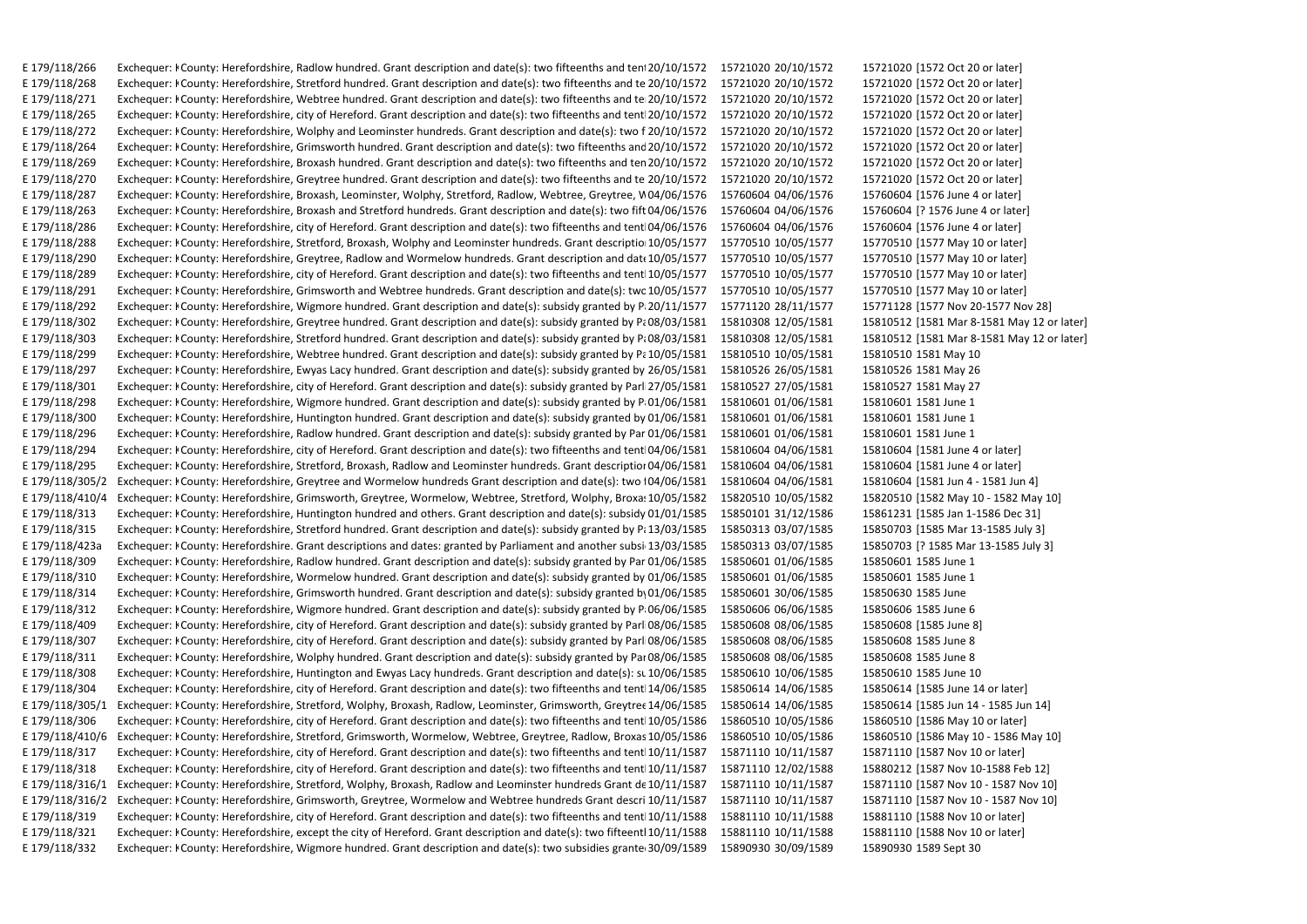E 179/118/266 Exchequer: I County: Herefordshire, Radlow hundred, Grant description and date(s): two fifteenths and tent 20/10/1572 15721020 20/10/1572 15721020 [1572 Oct 20 or later] E 179/118/268 Exchequer: I County: Herefordshire. Stretford hundred. Grant description and date(s): two fifteenths and te 20/10/1572 15721020 20/10/1572 15721020 [1572 Oct 20 or later] E 179/118/271 Exchequer: I County: Herefordshire, Webtree hundred. Grant description and date(s): two fifteenths and te 20/10/1572 15721020 20/10/1572 15721020 [1572 Oct 20 or later] E 179/118/265 Exchequer: I County: Herefordshire, city of Hereford. Grant description and date(s): two fifteenths and tent 20/10/1572 15721020 20/10/1572 15721020 [1572 Oct 20 or later] E 179/118/272 Exchequer: I County: Herefordshire. Wolphy and Leominster hundreds. Grant description and date(s): two f 20/10/1572 15721020 20/10/1572 15721020 [1572 Oct 20 or later] E 179/118/264 Exchequer: I County: Herefordshire, Grimsworth hundred. Grant description and date(s): two fifteenths and 20/10/1572 15721020 20/10/1572 15721020 [1572 Oct 20 or later] E 179/118/269 Exchequer: I County: Herefordshire, Broxash hundred. Grant description and date(s): two fifteenths and ten 20/10/1572 15721020 20/10/1572 15721020 [1572 Oct 20 or later] E 179/118/270 Exchequer: I County: Herefordshire, Greytree hundred. Grant description and date(s): two fifteenths and te 20/10/1572 15721020 20/10/1572 15721020 [1572 Oct 20 or later] E 179/118/287 Exchequer: I County: Herefordshire, Broxash, Leominster, Wolphy, Stretford, Radlow, Webtree, Greytree, W04/06/1576 15760604 04/06/1576 15760604 [1576 June 4 or later] E 179/118/263 Exchequer: I County: Herefordshire, Broxash and Stretford hundreds. Grant description and date(s): two fift 04/06/1576 15760604 04/06/1576 15760604 [? 1576 June 4 or later] E 179/118/286 Exchequer: I County: Herefordshire, city of Hereford. Grant description and date(s): two fifteenths and tent 04/06/1576 15760604 04/06/1576 15760604 [1576 June 4 or later] E 179/118/288 Exchequer: I County: Herefordshire, Stretford, Broxash, Wolphy and Leominster hundreds. Grant descriptio 10/05/1577 15770510 10/05/1577 15770510 [1577 May 10 or later] E 179/118/290 Exchequer: I County: Herefordshire, Greytree, Radlow and Wormelow hundreds, Grant description and dat 10/05/1577 15770510 10/05/1577 15770510 [1577 May 10 or later] E 179/118/289 Exchequer: I County: Herefordshire, city of Hereford. Grant description and date(s): two fifteenths and tent 10/05/1577 15770510 10/05/1577 15770510 [1577 May 10 or later] E 179/118/291 Exchequer: I County: Herefordshire, Grimsworth and Webtree hundreds. Grant description and date(s): twc 10/05/1577 15770510 10/05/1577 15770510 [1577 May 10 or later] E 179/118/292 Exchequer: I County: Herefordshire, Wigmore hundred. Grant description and date(s): subsidy granted by P. 20/11/1577 15771120 28/11/1577 15771128 [1577 Nov 20-1577 Nov 28] E 179/118/302 Exchequer: I County: Herefordshire, Greytree hundred. Grant description and date(s): subsidy granted by P; 08/03/1581 15810308 12/05/1581 15810512 [1581 Mar 8-1581 May 12 or later] E 179/118/303 Exchequer: I County: Herefordshire, Stretford hundred. Grant description and date(s): subsidy granted by P; 08/03/1581 15810308 12/05/1581 15810512 [1581 Mar 8-1581 May 12 or later] E 179/118/299 Exchequer: I County: Herefordshire, Webtree hundred. Grant description and date(s): subsidy granted by Pa 10/05/1581 15810510 10/05/1581 15810510 1581 May 10 E 179/118/297 Exchequer: I County: Herefordshire, Ewyas Lacy hundred. Grant description and date(s): subsidy granted by 26/05/1581 15810526 26/05/1581 15810526 1581 May 26 E 179/118/301 Exchequer: I County: Herefordshire, city of Hereford. Grant description and date(s): subsidy granted by Parl 27/05/1581 15810527 27/05/1581 15810527 1581 May 27 E 179/118/298 Exchequer: I County: Herefordshire, Wigmore hundred. Grant description and date(s): subsidy granted by P 01/06/1581 15810601 01/06/1581 15810601 15810601 1581 E 179/118/300 Exchequer: I County: Herefordshire, Huntington hundred. Grant description and date(s): subsidy granted by 01/06/1581 15810601 01/06/1581 15810601 1581 E 179/118/296 Exchequer: I County: Herefordshire, Radlow hundred. Grant description and date(s): subsidy granted by Par 01/06/1581 15810601 01/06/1581 15810601 15810601 1581 E 179/118/294 Exchequer: I County: Herefordshire, city of Hereford. Grant description and date(s): two fifteenths and tent 04/06/1581 15810604 04/06/1581 15810604 [1581 June 4 or later] E 179/118/295 Exchequer: I County: Herefordshire, Stretford, Broxash, Radlow and Leominster hundreds. Grant descriptior 04/06/1581 15810604 04/06/1581 15810604 [1581 June 4 or later] E 179/118/305/2 Exchequer: I County: Herefordshire, Greytree and Wormelow hundreds Grant description and date(s): two 104/06/1581 15810604 04/06/1581 15810604 [1581 Jun 4 - 1581 Jun 4] E 179/118/410/4 Exchequer: I County: Herefordshire, Grimsworth, Greytree, Wormelow, Webtree, Stretford, Wolphy, Broxa: 10/05/1582 15820510 10/05/1582 15820510 [1582 May 10 - 1582 May 10] E 179/118/313 Exchequer: I County: Herefordshire, Huntington hundred and others. Grant description and date(s): subsidy 01/01/1585 15850101 31/12/1586 15861231 [1585 Jan 1-1586 Dec 31] E 179/118/315 Exchequer: I County: Herefordshire, Stretford hundred. Grant description and date(s): subsidy granted by P; 13/03/1585 15850313 03/07/1585 15850703 [1585 Mar 13-1585 July 3] E 179/118/423a Exchequer: I County: Herefordshire. Grant descriptions and dates: granted by Parliament and another subsi 13/03/1585 15850313 03/07/1585 15850703 [? 1585 Mar 13-1585 July 3] E 179/118/309 Exchequer: I County: Herefordshire, Radlow hundred. Grant description and date(s): subsidy granted by Par 01/06/1585 15850601 01/06/1585 15850601 15850601 1585 June 1 E 179/118/310 Exchequer: I County: Herefordshire, Wormelow hundred. Grant description and date(s): subsidy granted by 01/06/1585 15850601 01/06/1585 15850601 15850601 1585 June 1 E 179/118/314 Exchequer: I County: Herefordshire, Grimsworth hundred. Grant description and date(s): subsidy granted by 01/06/1585 15850601 30/06/1585 15850630 1585 June E 179/118/312 Exchequer: I County: Herefordshire, Wigmore hundred. Grant description and date(s): subsidy granted by P.06/06/1585 15850606 06/06/1585 15850606 15850606 1585 June 6 E 179/118/409 Exchequer: I County: Herefordshire, city of Hereford. Grant description and date(s): subsidy granted by Parl 08/06/1585 15850608 08/06/1585 15850608 [1585 June 8] E 179/118/307 Exchequer: I County: Herefordshire, city of Hereford. Grant description and date(s): subsidy granted by Parl 08/06/1585 15850608 08/06/1585 15850608 1585 June 8 E 179/118/311 Exchequer: I County: Herefordshire, Wolphy hundred. Grant description and date(s): subsidy granted by Par 08/06/1585 15850608 08/06/1585 15850608 15850608 1585 E 179/118/308 Exchequer: I County: Herefordshire, Huntington and Ewyas Lacy hundreds. Grant description and date(s): st 10/06/1585 15850610 10/06/1585 15850610 1585 Uune 10 E 179/118/304 Exchequer: I County: Herefordshire, city of Hereford. Grant description and date(s): two fifteenths and tent 14/06/1585 15850614 14/06/1585 15850614 [1585 June 14 or later] E 179/118/305/1 Exchequer: I County: Herefordshire, Stretford, Wolphy, Broxash, Radlow, Leominster, Grimsworth, Greytres 14/06/1585 15850614 14/06/1585 15850614 [1585 Jun 14 - 1585 Jun 14] E 179/118/306 Exchequer: I County: Herefordshire, city of Hereford. Grant description and date(s): two fifteenths and tent 10/05/1586 15860510 10/05/1586 15860510 [1586 May 10 or later] E 179/118/410/6 Exchequer: I County: Herefordshire, Stretford, Grimsworth, Wormelow, Webtree, Greytree, Radlow, Broxas 10/05/1586 15860510 10/05/1586 15860510 [1586 May 10 - 1586 May 10] E 179/118/317 Exchequer: I County: Herefordshire, city of Hereford. Grant description and date(s): two fifteenths and tent 10/11/1587 15871110 10/11/1587 15871110 [1587 Nov 10 or later] E 179/118/318 Exchequer: I County: Herefordshire, city of Hereford. Grant description and date(s): two fifteenths and tent 10/11/1587 15871110 12/02/1588 15880212 [1587 Nov 10-1588 Feb 12] E 179/118/316/1 Exchequer: I County: Herefordshire, Stretford, Wolphy, Broxash, Radlow and Leominster hundreds Grant de 10/11/1587 15871110 10/11/1587 15871110 [1587 Nov 10 - 1587 Nov 10] E 179/118/316/2 Exchequer: I County: Herefordshire, Grimsworth, Greytree, Wormelow and Webtree hundreds Grant descri 10/11/1587 15871110 10/11/1587 15871110 [1587 Nov 10 - 1587 Nov 10] E 179/118/319 Exchequer: I County: Herefordshire, city of Hereford. Grant description and date(s): two fifteenths and tent 10/11/1588 15881110 10/11/1588 15881110 [1588 Nov 10 or later] E 179/118/321 Exchequer: I County: Herefordshire, except the city of Hereford. Grant description and date(s): two fifteentl 10/11/1588 15881110 10/11/1588 15881110 [1588 Nov 10 or later] E 179/118/332 Exchequer: I County: Herefordshire, Wigmore hundred. Grant description and date(s): two subsidies grante 30/09/1589 15890930 30/09/1589 15890930 1589 15890930 1589 Sept 30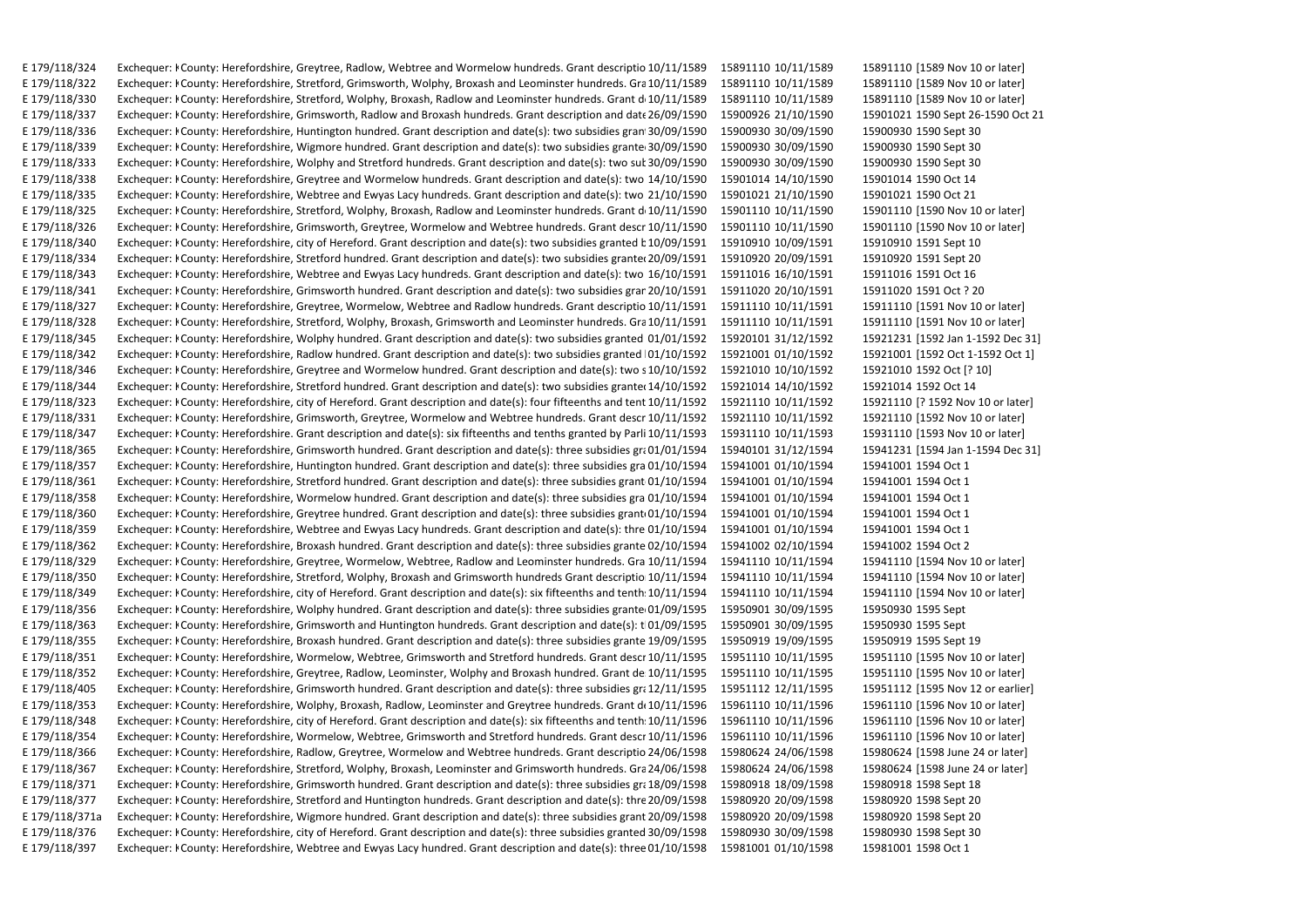E 179/118/324 Exchequer: I County: Herefordshire, Greytree, Radlow, Webtree and Wormelow hundreds, Grant descriptio 10/11/1589 15891110 10/11/1589 15891110 [1589 Nov 10 or later] E 179/118/322 Exchequer: I County: Herefordshire, Stretford, Grimsworth, Wolphy, Broxash and Leominster hundreds, Gra 10/11/1589 15891110 10/11/1589 15891110 [1589 Nov 10 or later] E 179/118/330 Exchequer: I County: Herefordshire, Stretford, Wolphy, Broxash, Radlow and Leominster hundreds. Grant d 10/11/1589 15891110 10/11/1589 15891110 [1589 Nov 10 or later] E 179/118/337 Exchequer: I County: Herefordshire, Grimsworth, Radlow and Broxash hundreds. Grant description and date 26/09/1590 15900926 21/10/1590 15901021 1590 Sept 26-1590 Oct 21 E 179/118/336 Exchequer: I County: Herefordshire. Huntington hundred. Grant description and date(s): two subsidies gran 30/09/1590 15900930 30/09/1590 15900930 15900930 1590 E 179/118/339 Exchequer: I County: Herefordshire, Wigmore hundred. Grant description and date(s): two subsidies grante 30/09/1590 15900930 30/09/1590 15900930 15900930 1590 Sept 30 E 179/118/333 Exchequer: I County: Herefordshire, Wolphy and Stretford hundreds. Grant description and date(s): two suk 30/09/1590 15900930 30/09/1590 15900930 15900930 1590 E 179/118/338 Exchequer: I County: Herefordshire, Greytree and Wormelow hundreds. Grant description and date(s): two 14/10/1590 15901014 14/10/1590 15901014 15901014 1590 Oct 14 E 179/118/335 Exchequer: I County: Herefordshire, Webtree and Ewyas Lacy hundreds. Grant description and date(s): two 21/10/1590 15901021 21/10/1590 15901021 1590 0ct 21 E 179/118/325 Exchequer: I County: Herefordshire, Stretford, Wolphy, Broxash, Radlow and Leominster hundreds. Grant d 10/11/1590 15901110 10/11/1590 15901110 [1590 Nov 10 or later] E 179/118/326 Exchequer: I County: Herefordshire, Grimsworth, Greytree, Wormelow and Webtree hundreds. Grant descr 10/11/1590 15901110 10/11/1590 15901110 [1590 Nov 10 or later] E 179/118/340 Exchequer: I County: Herefordshire, city of Hereford. Grant description and date(s): two subsidies granted b 10/09/1591 15910910 10/09/1591 15910910 15910 1591 Sept 10 E 179/118/334 Exchequer: I County: Herefordshire. Stretford hundred. Grant description and date(s): two subsidies grante(20/09/1591 15910920 20/09/1591 15910920 1591 Sept 20 E 179/118/343 Exchequer: I County: Herefordshire, Webtree and Ewyas Lacy hundreds. Grant description and date(s): two 16/10/1591 15911016 16/10/1591 15911016 15911016 1591 Oct 16 E 179/118/341 Exchequer: I County: Herefordshire, Grimsworth hundred. Grant description and date(s): two subsidies grar 20/10/1591 15911020 20/10/1591 15911020 1591 Oct? 20 E 179/118/327 Exchequer: I County: Herefordshire, Greytree, Wormelow, Webtree and Radlow hundreds. Grant descriptio 10/11/1591 15911110 10/11/1591 15911110 [1591 Nov 10 or later] E 179/118/328 Exchequer: I County: Herefordshire, Stretford, Wolphy, Broxash, Grimsworth and Leominster hundreds. Gra 10/11/1591 15911110 10/11/1591 15911110 [1591 Nov 10 or later] E 179/118/345 Exchequer: I County: Herefordshire, Wolphy hundred. Grant description and date(s): two subsidies granted 01/01/1592 15920101 31/12/1592 15921231 [1592 Jan 1-1592 Dec 31] E 179/118/342 Exchequer: I County: Herefordshire, Radlow hundred. Grant description and date(s): two subsidies granted 01/10/1592 15921001 01/10/1592 15921001 [1592 Oct 1-1592 Oct 1] E 179/118/346 Exchequer: I County: Herefordshire, Greytree and Wormelow hundred. Grant description and date(s): two s 10/10/1592 15921010 10/10/1592 15921010 1592 Oct [? 10] E 179/118/344 Exchequer: I County: Herefordshire, Stretford hundred. Grant description and date(s): two subsidies grante(14/10/1592 15921014 14/10/1592 15921014 15921014 1592 Oct 14 E 179/118/323 Exchequer: I County: Herefordshire, city of Hereford. Grant description and date(s): four fifteenths and tent 10/11/1592 15921110 10/11/1592 15921110 [? 1592 Nov 10 or later] E 179/118/331 Exchequer: I County: Herefordshire, Grimsworth, Greytree, Wormelow and Webtree hundreds. Grant descr 10/11/1592 15921110 10/11/1592 15921110 [1592 Nov 10 or later] E 179/118/347 Exchequer: I County: Herefordshire. Grant description and date(s): six fifteenths and tenths granted by Parli 10/11/1593 15931110 10/11/1593 15931110 [1593 Nov 10 or later] E 179/118/365 Exchequer: I County: Herefordshire, Grimsworth hundred. Grant description and date(s): three subsidies gra 01/01/1594 15940101 31/12/1594 15941231 [1594 Jan 1-1594 Dec 31] E 179/118/357 Exchequer: I County: Herefordshire, Huntington hundred. Grant description and date(s): three subsidies gra 01/10/1594 15941001 01/10/1594 15941001 1594 0ct 1 E 179/118/361 Exchequer: I County: Herefordshire, Stretford hundred. Grant description and date(s): three subsidies grant 01/10/1594 15941001 01/10/1594 15941001 1594 Oct 1 E 179/118/358 Exchequer: I County: Herefordshire, Wormelow hundred. Grant description and date(s): three subsidies gra 01/10/1594 15941001 01/10/1594 15941001 1594 Oct 1 E 179/118/360 Exchequer: I County: Herefordshire, Greytree hundred. Grant description and date(s): three subsidies grant 01/10/1594 15941001 01/10/1594 15941001 1594 0ct 1 E 179/118/359 Exchequer: I County: Herefordshire, Webtree and Ewyas Lacy hundreds. Grant description and date(s): thre 01/10/1594 15941001 01/10/1594 15941001 1594 0ct 1 E 179/118/362 Exchequer: I County: Herefordshire, Broxash hundred. Grant description and date(s): three subsidies grante 02/10/1594 15941002 02/10/1594 15941002 1594 Oct 2 E 179/118/329 Exchequer: I County: Herefordshire, Greytree, Wormelow, Webtree, Radlow and Leominster hundreds. Gra 10/11/1594 15941110 10/11/1594 15941110 [1594 Nov 10 or later] E 179/118/350 Exchequer: I County: Herefordshire, Stretford, Wolphy, Broxash and Grimsworth hundreds Grant descriptio 10/11/1594 15941110 10/11/1594 15941110 [1594 Nov 10 or later] E 179/118/349 Exchequer: I County: Herefordshire, city of Hereford. Grant description and date(s): six fifteenths and tenth: 10/11/1594 15941110 10/11/1594 15941110 [1594 Nov 10 or later] E 179/118/356 Exchequer: I County: Herefordshire, Wolphy hundred. Grant description and date(s): three subsidies grante 01/09/1595 15950901 30/09/1595 15950930 1595 Sept E 179/118/363 Exchequer: I County: Herefordshire, Grimsworth and Huntington hundreds. Grant description and date(s): t 01/09/1595 15950901 30/09/1595 15950930 1595 Sept E 179/118/355 Exchequer: I County: Herefordshire, Broxash hundred. Grant description and date(s): three subsidies grante 19/09/1595 15950919 19/09/1595 15950919 1595 Sept 19 E 179/118/351 Exchequer: I County: Herefordshire, Wormelow, Webtree, Grimsworth and Stretford hundreds. Grant descr 10/11/1595 15951110 10/11/1595 15951110 [1595 Nov 10 or later] E 179/118/352 Exchequer: I County: Herefordshire, Greytree, Radlow, Leominster, Wolphy and Broxash hundred. Grant de 10/11/1595 15951110 10/11/1595 15951110 [1595 Nov 10 or later] E 179/118/405 Exchequer: I County: Herefordshire, Grimsworth hundred. Grant description and date(s): three subsidies grt 12/11/1595 15951112 12/11/1595 15951112 [1595 Nov 12 or earlier] E 179/118/353 Exchequer: I County: Herefordshire, Wolphy, Broxash, Radlow, Leominster and Greytree hundreds. Grant d(10/11/1596 15961110 10/11/1596 15961110 [1596 Nov 10 or later] E 179/118/348 Exchequer: I County: Herefordshire, city of Hereford. Grant description and date(s): six fifteenths and tenth: 10/11/1596 15961110 10/11/1596 15961110 [1596 Nov 10 or later] E 179/118/354 Exchequer: I County: Herefordshire, Wormelow, Webtree, Grimsworth and Stretford hundreds. Grant descr 10/11/1596 15961110 10/11/1596 15961110 [1596 Nov 10 or later] E 179/118/366 Exchequer: I County: Herefordshire, Radlow, Greytree, Wormelow and Webtree hundreds. Grant descriptio 24/06/1598 15980624 24/06/1598 15980624 [1598 June 24 or later] E 179/118/367 Exchequer: I County: Herefordshire, Stretford, Wolphy, Broxash, Leominster and Grimsworth hundreds. Gra 24/06/1598 15980624 24/06/1598 15980624 [1598 June 24 or later] E 179/118/371 Exchequer: I County: Herefordshire, Grimsworth hundred. Grant description and date(s): three subsidies gr; 18/09/1598 15980918 18/09/1598 15980918 15980918 1598 Sept 18 E 179/118/377 Exchequer: I County: Herefordshire, Stretford and Huntington hundreds. Grant description and date(s): thre 20/09/1598 15980920 20/09/1598 15980920 1598 Sept 20 E 179/118/371a Exchequer: I County: Herefordshire, Wigmore hundred. Grant description and date(s): three subsidies grant 20/09/1598 15980920 20/09/1598 15980920 1598 Sept 20 E 179/118/376 Exchequer: I County: Herefordshire, city of Hereford. Grant description and date(s): three subsidies granted 30/09/1598 15980930 30/09/1598 15980930 1598 Sept 30 E 179/118/397 Exchequer: I County: Herefordshire, Webtree and Ewyas Lacy hundred. Grant description and date(s): three 01/10/1598 15981001 01/10/1598 15981001 1598 0ct 1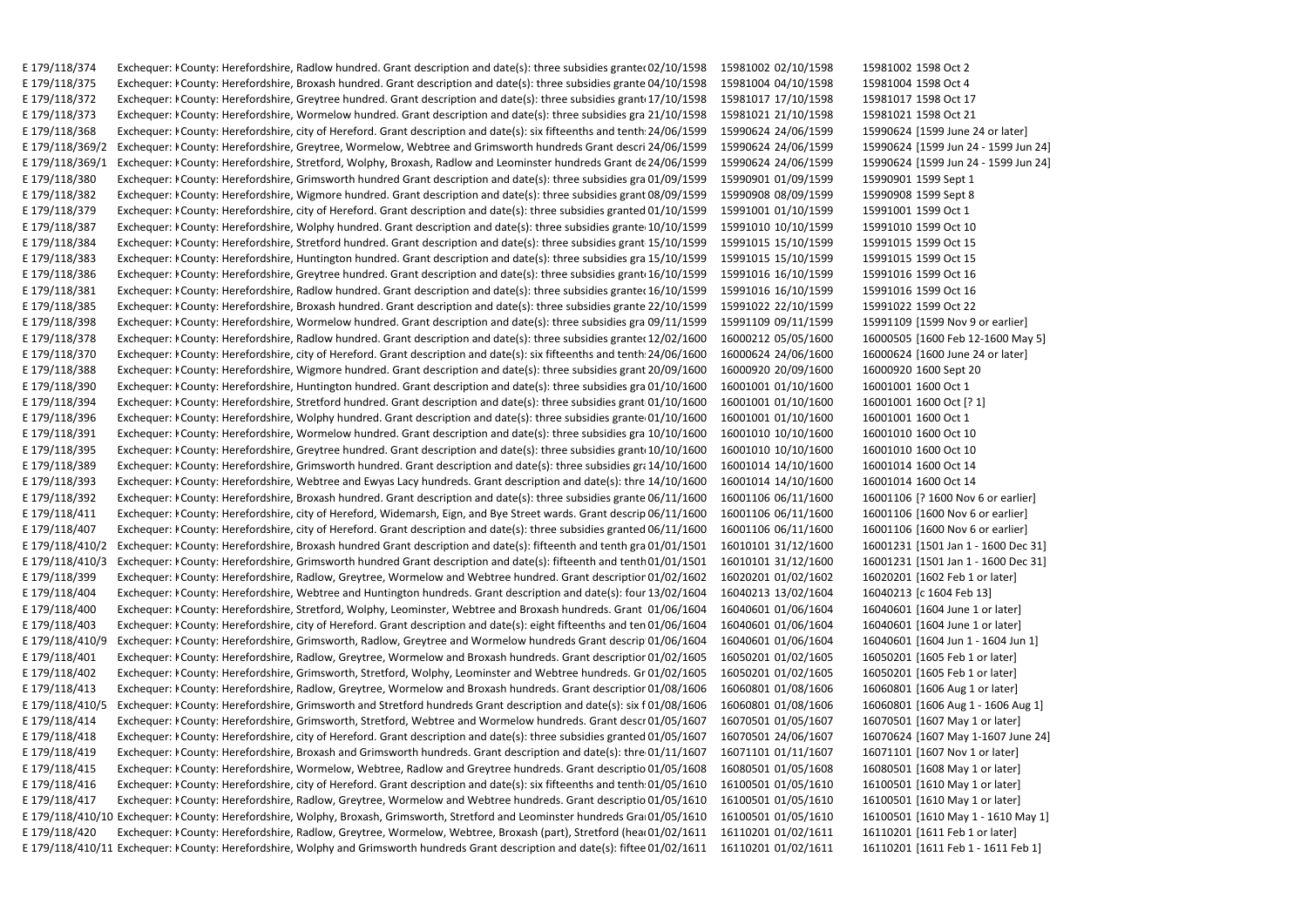E 179/118/374 Exchequer: ECounty: Herefordshire, Radlow hundred, Grant description and date(s): three subsidies grante(02/10/1598 15981002 02/10/1598 15981002 1598002 1598 E 179/118/375 Exchequer: I County: Herefordshire. Broxash hundred. Grant description and date(s): three subsidies grante 04/10/1598 15981004 04/10/1598 15981004 15981004 1598 Oct 4 E 179/118/372 Exchequer: I County: Herefordshire, Greytree hundred. Grant description and date(s): three subsidies grant 17/10/1598 15981017 17/10/1598 15981017 15981017 1598 Oct 17 E 179/118/373 Exchequer: I County: Herefordshire, Wormelow hundred. Grant description and date(s): three subsidies gra 21/10/1598 15981021 21/10/1598 15981021 15981021 1598 Oct 21 E 179/118/368 Exchequer: I County: Herefordshire, city of Hereford. Grant description and date(s): six fifteenths and tenth: 24/06/1599 15990624 24/06/1599 15990624 [1599 June 24 or later] E 179/118/369/2 Exchequer: I County: Herefordshire, Greytree, Wormelow, Webtree and Grimsworth hundreds Grant descri 24/06/1599 15990624 24/06/1599 15990624 [1599 Jun 24 - 1599 Jun 24] E 179/118/369/1 Exchequer: I County: Herefordshire, Stretford, Wolphy, Broxash, Radlow and Leominster hundreds Grant de 24/06/1599 15990624 24/06/1599 15990624 [1599 Jun 24 - 1599 Jun 24] E 179/118/380 Exchequer: I County: Herefordshire, Grimsworth hundred Grant description and date(s): three subsidies gra 01/09/1599 15990901 01/09/1599 15990901 15990901 1599 Sept 1 E 179/118/382 Exchequer: I County: Herefordshire, Wigmore hundred. Grant description and date(s): three subsidies grant 08/09/1599 15990908 08/09/1599 15990908 15990908 1599 Sept 8 E 179/118/379 Exchequer: I County: Herefordshire, city of Hereford. Grant description and date(s): three subsidies granted 01/10/1599 15991001 01/10/1599 15991001 1599 0ct 1 E 179/118/387 Exchequer: I County: Herefordshire, Wolphy hundred. Grant description and date(s): three subsidies grante 10/10/1599 15991010 10/10/1599 15991010 15991010 1599 Oct 10 E 179/118/384 Exchequer: I County: Herefordshire, Stretford hundred. Grant description and date(s): three subsidies grant 15/10/1599 15991015 15/10/1599 15991015 15991015 1599 Oct 15 E 179/118/383 Exchequer: I County: Herefordshire. Huntington hundred. Grant description and date(s): three subsidies gra 15/10/1599 15991015 15/10/1599 15991015 15991015 1599 Oct 15 E 179/118/386 Exchequer: I County: Herefordshire, Greytree hundred. Grant description and date(s): three subsidies grant 16/10/1599 15991016 16/10/1599 15991016 15991016 1599 Oct 16 E 179/118/381 Exchequer: I County: Herefordshire, Radlow hundred. Grant description and date(s): three subsidies grante(16/10/1599 15991016 16/10/1599 15991016 15991016 1599 Oct 16 E 179/118/385 Exchequer: I County: Herefordshire, Broxash hundred. Grant description and date(s): three subsidies grante 22/10/1599 15991022 22/10/1599 15991022 1599 Oct 22 E 179/118/398 Exchequer: I County: Herefordshire, Wormelow hundred. Grant description and date(s): three subsidies gra 09/11/1599 15991109 09/11/1599 15991109 [1599 Nov 9 or earlier] E 179/118/378 Exchequer: I County: Herefordshire, Radlow hundred. Grant description and date(s): three subsidies grante(12/02/1600 16000212 05/05/1600 16000505 [1600 Feb 12-1600 May 5] E 179/118/370 Exchequer: I County: Herefordshire, city of Hereford. Grant description and date(s): six fifteenths and tenth: 24/06/1600 16000624 24/06/1600 16000624 [1600 June 24 or later] E 179/118/388 Exchequer: I County: Herefordshire, Wigmore hundred. Grant description and date(s): three subsidies grant 20/09/1600 16000920 20/09/1600 16000920 16000920 1600 Sept 20 E 179/118/390 Exchequer: I County: Herefordshire, Huntington hundred. Grant description and date(s): three subsidies gra 01/10/1600 16001001 01/10/1600 16001001 1600 0ct 1 E 179/118/394 Exchequer: I County: Herefordshire, Stretford hundred. Grant description and date(s): three subsidies grant 01/10/1600 16001001 01/10/1600 16001001 1600 Oct [? 1] E 179/118/396 Exchequer: I County: Herefordshire, Wolphy hundred. Grant description and date(s): three subsidies grante 01/10/1600 16001001 01/10/1600 16001001 1600 0ct 1 E 179/118/391 Exchequer: I County: Herefordshire, Wormelow hundred. Grant description and date(s): three subsidies gra 10/10/1600 16001010 10/10/1600 16001010 1600 0ct 10 E 179/118/395 Exchequer: I County: Herefordshire, Greytree hundred. Grant description and date(s): three subsidies grant 10/10/1600 16001010 10/10/1600 16001010 1600 Oct 10 E 179/118/389 Exchequer: I County: Herefordshire, Grimsworth hundred. Grant description and date(s): three subsidies gr; 14/10/1600 16001014 14/10/1600 16001014 16001014 1600 Oct 14 E 179/118/393 Exchequer: I County: Herefordshire, Webtree and Ewyas Lacy hundreds. Grant description and date(s): thre 14/10/1600 16001014 14/10/1600 16001014 16001014 1600 Oct 14 E 179/118/392 Exchequer: I County: Herefordshire, Broxash hundred. Grant description and date(s): three subsidies grante 06/11/1600 16001106 06/11/1600 16001106 [? 1600 Nov 6 or earlier] E 179/118/411 Exchequer: I County: Herefordshire, city of Hereford, Widemarsh, Eign, and Bye Street wards. Grant descrip 06/11/1600 16001106 06/11/1600 16001106 [1600 Nov 6 or earlier] E 179/118/407 Exchequer: I County: Herefordshire, city of Hereford. Grant description and date(s): three subsidies granted 06/11/1600 16001106 06/11/1600 16001106 [1600 Nov 6 or earlier] E 179/118/410/2 Exchequer: I County: Herefordshire, Broxash hundred Grant description and date(s): fifteenth and tenth gra 01/01/1501 16010101 31/12/1600 16001231 [1501 Jan 1 - 1600 Dec 31] E 179/118/410/3 Exchequer: I County: Herefordshire, Grimsworth hundred Grant description and date(s): fifteenth and tenth 01/01/1501 16010101 31/12/1600 16001231 [1501 Jan 1 - 1600 Dec 31] E 179/118/399 Exchequer: I County: Herefordshire, Radlow, Greytree, Wormelow and Webtree hundred. Grant descriptior 01/02/1602 16020201 01/02/1602 16020201 [1602 Feb 1 or later] E 179/118/404 Exchequer: I County: Herefordshire, Webtree and Huntington hundreds. Grant description and date(s): four 13/02/1604 16040213 13/02/1604 16040213 [c 1604 Feb 13] E 179/118/400 Exchequer: I County: Herefordshire, Stretford, Wolphy, Leominster, Webtree and Broxash hundreds. Grant 01/06/1604 16040601 01/06/1604 16040601 [1604 June 1 or later] E 179/118/403 Exchequer: I County: Herefordshire, city of Hereford. Grant description and date(s): eight fifteenths and ten 01/06/1604 16040601 01/06/1604 16040601 [1604 June 1 or later] E 179/118/410/9 Exchequer: I County: Herefordshire, Grimsworth, Radlow, Greytree and Wormelow hundreds Grant descrip 01/06/1604 16040601 01/06/1604 16040601 [1604 Jun 1 - 1604 Jun 1] E 179/118/401 Exchequer: I County: Herefordshire, Radlow, Greytree, Wormelow and Broxash hundreds. Grant descriptior 01/02/1605 16050201 01/02/1605 16050201 [1605 Feb 1 or later] E 179/118/402 Exchequer: I County: Herefordshire, Grimsworth, Stretford, Wolphy, Leominster and Webtree hundreds. Gr 01/02/1605 16050201 01/02/1605 16050201 [1605 Feb 1 or later] E 179/118/413 Exchequer: I County: Herefordshire, Radlow, Greytree, Wormelow and Broxash hundreds. Grant descriptior 01/08/1606 16060801 01/08/1606 16060801 [1606 Aug 1 or later] E 179/118/410/5 Exchequer: I County: Herefordshire, Grimsworth and Stretford hundreds Grant description and date(s): six f 01/08/1606 16060801 01/08/1606 16060801 [1606 Aug 1 - 1606 Aug 1] E 179/118/414 Exchequer: I County: Herefordshire, Grimsworth, Stretford, Webtree and Wormelow hundreds. Grant descr 01/05/1607 16070501 01/05/1607 16070501 [1607 May 1 or later] E 179/118/418 Exchequer: I County: Herefordshire, city of Hereford. Grant description and date(s): three subsidies granted 01/05/1607 16070501 24/06/1607 16070624 [1607 May 1-1607 June 24] E 179/118/419 Exchequer: I County: Herefordshire, Broxash and Grimsworth hundreds. Grant description and date(s): thre 01/11/1607 16071101 01/11/1607 16071101 [1607 Nov 1 or later] E 179/118/415 Exchequer: I County: Herefordshire, Wormelow, Webtree, Radlow and Greytree hundreds. Grant descriptio 01/05/1608 16080501 01/05/1608 16080501 [1608 May 1 or later] E 179/118/416 Exchequer: I County: Herefordshire, city of Hereford. Grant description and date(s): six fifteenths and tenth: 01/05/1610 16100501 01/05/1610 16100501 [1610 May 1 or later] E 179/118/417 Exchequer: I County: Herefordshire, Radlow, Greytree, Wormelow and Webtree hundreds. Grant descriptio 01/05/1610 16100501 01/05/1610 16100501 [1610 May 1 or later] E 179/118/410/10 Exchequer: I County: Herefordshire, Wolphy, Broxash, Grimsworth, Stretford and Leominster hundreds Gra 01/05/1610 16100501 01/05/1610 16100501 [1610 May 1 - 1610 May 1] E 179/118/420 Exchequer: I County: Herefordshire, Radlow, Greytree, Wormelow, Webtree, Broxash (part), Stretford (heat 01/02/1611 16110201 01/02/1611 16110201 [1611 Feb 1 or later] E 179/118/410/11 Exchequer: I County: Herefordshire, Wolphy and Grimsworth hundreds Grant description and date(s): fiftee 01/02/1611 16110201 01/02/1611 16110201 [1611 Feb 1] - 1611 Feb 1]